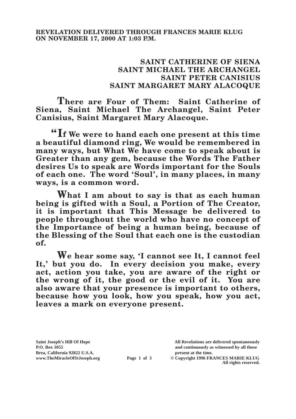## **SAINT CATHERINE OF SIENA SAINT MICHAEL THE ARCHANGEL SAINT PETER CANISIUS SAINT MARGARET MARY ALACOQUE**

**There are Four of Them: Saint Catherine of Siena, Saint Michael The Archangel, Saint Peter Canisius, Saint Margaret Mary Alacoque.**

**"If We were to hand each one present at this time a beautiful diamond ring, We would be remembered in many ways, but What We have come to speak about is Greater than any gem, because the Words The Father desires Us to speak are Words important for the Souls of each one. The word 'Soul', in many places, in many ways, is a common word.**

**What I am about to say is that as each human being is gifted with a Soul, a Portion of The Creator, it is important that This Message be delivered to people throughout the world who have no concept of the Importance of being a human being, because of the Blessing of the Soul that each one is the custodian of.**

**We hear some say, 'I cannot see It, I cannot feel It,' but you do. In every decision you make, every act, action you take, you are aware of the right or the wrong of it, the good or the evil of it. You are also aware that your presence is important to others, because how you look, how you speak, how you act, leaves a mark on everyone present.**

Brea, California 92822 U.S.A.<br>
www.TheMiracleOfStJoseph.org<br> **Page 1 of 3** © Copyright 1996 FR.

**Saint Joseph's Hill Of Hope All Revelations are delivered spontaneously P.O. Box 1055 and continuously as witnessed by all those** 

**Page 1 of 3** © Copyright 1996 FRANCES MARIE KLUG **All rights reserved.**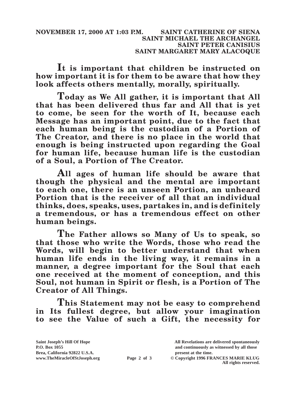**It is important that children be instructed on how important it is for them to be aware that how they look affects others mentally, morally, spiritually.**

**Today as We All gather, it is important that All that has been delivered thus far and All that is yet to come, be seen for the worth of It, because each Message has an important point, due to the fact that each human being is the custodian of a Portion of The Creator, and there is no place in the world that enough is being instructed upon regarding the Goal for human life, because human life is the custodian of a Soul, a Portion of The Creator.**

**All ages of human life should be aware that though the physical and the mental are important to each one, there is an unseen Portion, an unheard Portion that is the receiver of all that an individual thinks, does, speaks, uses, partakes in, and is definitely a tremendous, or has a tremendous effect on other human beings.**

**The Father allows so Many of Us to speak, so that those who write the Words, those who read the Words, will begin to better understand that when human life ends in the living way, it remains in a manner, a degree important for the Soul that each one received at the moment of conception, and this Soul, not human in Spirit or flesh, is a Portion of The Creator of All Things.**

**This Statement may not be easy to comprehend in Its fullest degree, but allow your imagination to see the Value of such a Gift, the necessity for** 

| Saint Joseph's Hill Of Hope   |             | All Revelations are delivered spontaneously |
|-------------------------------|-------------|---------------------------------------------|
| P.O. Box 1055                 |             | and continuously as witnessed by all those  |
| Brea, California 92822 U.S.A. |             | present at the time.                        |
| www.TheMiracleOfStJoseph.org  | Page 2 of 3 | © Copyright 1996 FRANCES MARIE KLUG         |
|                               |             | All rights reserved.                        |